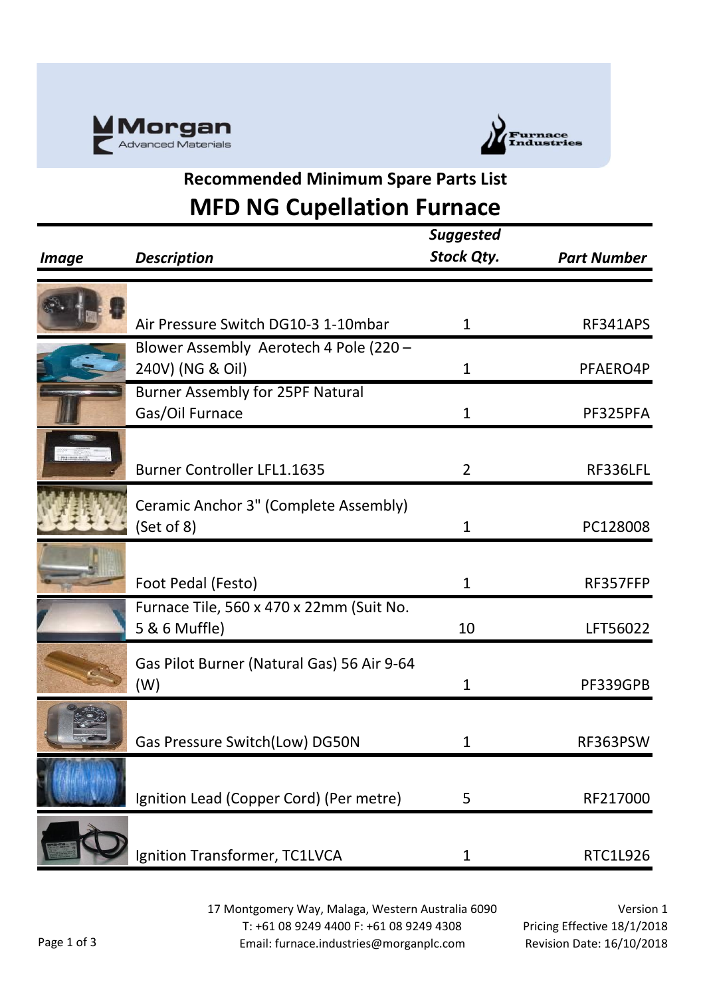



## **Recommended Minimum Spare Parts List MFD NG Cupellation Furnace**

|                     |                                            | <b>Suggested</b>  |                    |
|---------------------|--------------------------------------------|-------------------|--------------------|
| <i><b>Image</b></i> | <b>Description</b>                         | <b>Stock Qty.</b> | <b>Part Number</b> |
|                     |                                            |                   |                    |
|                     | Air Pressure Switch DG10-3 1-10mbar        | $\mathbf{1}$      | RF341APS           |
|                     | Blower Assembly Aerotech 4 Pole (220 -     |                   |                    |
|                     | 240V) (NG & Oil)                           | 1                 | PFAERO4P           |
|                     | <b>Burner Assembly for 25PF Natural</b>    |                   |                    |
|                     | Gas/Oil Furnace                            | $\mathbf{1}$      | PF325PFA           |
|                     |                                            |                   |                    |
|                     | <b>Burner Controller LFL1.1635</b>         | $\overline{2}$    | RF336LFL           |
|                     | Ceramic Anchor 3" (Complete Assembly)      |                   |                    |
|                     | (Set of 8)                                 | $\mathbf{1}$      | PC128008           |
|                     |                                            |                   |                    |
|                     | Foot Pedal (Festo)                         | $\mathbf{1}$      | RF357FFP           |
|                     | Furnace Tile, 560 x 470 x 22mm (Suit No.   |                   |                    |
|                     | 5 & 6 Muffle)                              | 10                | LFT56022           |
|                     | Gas Pilot Burner (Natural Gas) 56 Air 9-64 |                   |                    |
|                     | (W)                                        | $\mathbf 1$       | PF339GPB           |
|                     |                                            |                   |                    |
|                     | Gas Pressure Switch(Low) DG50N             | 1                 | RF363PSW           |
|                     |                                            |                   |                    |
|                     | Ignition Lead (Copper Cord) (Per metre)    | 5                 | RF217000           |
|                     |                                            |                   |                    |
|                     | Ignition Transformer, TC1LVCA              | 1                 | RTC1L926           |

17 Montgomery Way, Malaga, Western Australia 6090 T: +61 08 9249 4400 F: +61 08 9249 4308 Email: furnace.industries@morganplc.com

Version 1 Pricing Effective 18/1/2018 Revision Date: 16/10/2018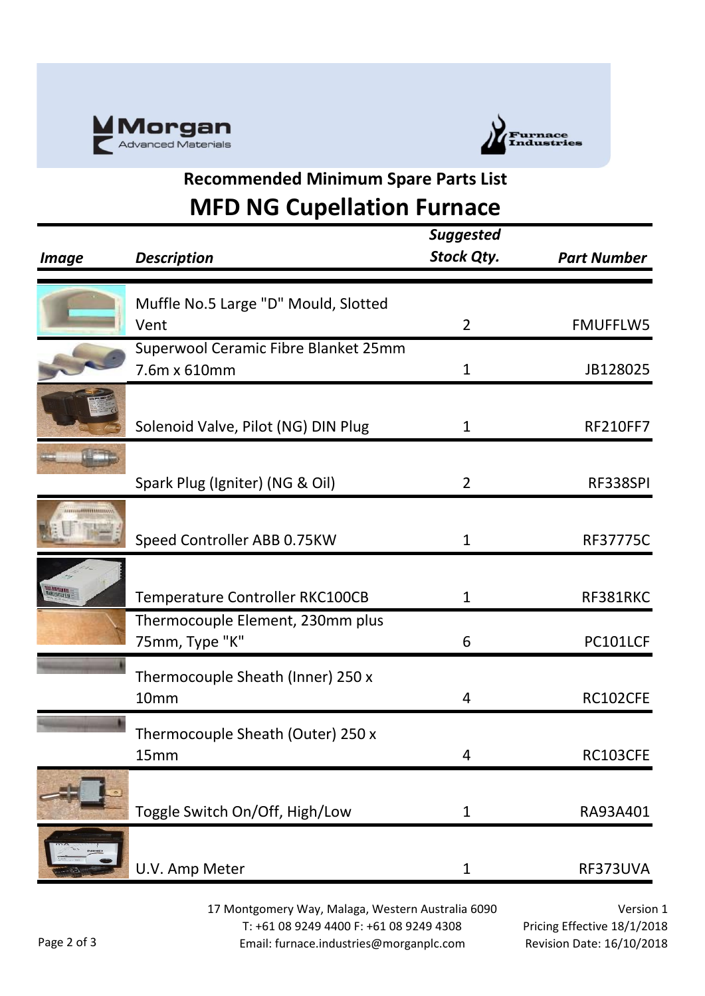



## **Recommended Minimum Spare Parts List MFD NG Cupellation Furnace**

| <i><b>Image</b></i> | <b>Description</b>                                   | <b>Suggested</b><br><b>Stock Qty.</b> | <b>Part Number</b> |
|---------------------|------------------------------------------------------|---------------------------------------|--------------------|
|                     | Muffle No.5 Large "D" Mould, Slotted                 |                                       |                    |
|                     | Vent                                                 | $\overline{2}$                        | <b>FMUFFLW5</b>    |
|                     | Superwool Ceramic Fibre Blanket 25mm<br>7.6m x 610mm | $\mathbf{1}$                          | JB128025           |
|                     | Solenoid Valve, Pilot (NG) DIN Plug                  | $\mathbf{1}$                          | <b>RF210FF7</b>    |
|                     | Spark Plug (Igniter) (NG & Oil)                      | $\overline{2}$                        | RF338SPI           |
|                     | Speed Controller ABB 0.75KW                          | $\mathbf{1}$                          | <b>RF37775C</b>    |
|                     | Temperature Controller RKC100CB                      | $\mathbf{1}$                          | RF381RKC           |
|                     | Thermocouple Element, 230mm plus<br>75mm, Type "K"   | 6                                     | PC101LCF           |
|                     | Thermocouple Sheath (Inner) 250 x<br>10mm            | 4                                     | RC102CFE           |
|                     | Thermocouple Sheath (Outer) 250 x<br>15mm            | 4                                     | RC103CFE           |
|                     | Toggle Switch On/Off, High/Low                       | $\mathbf{1}$                          | RA93A401           |
|                     | U.V. Amp Meter                                       | $\mathbf 1$                           | RF373UVA           |

17 Montgomery Way, Malaga, Western Australia 6090 T: +61 08 9249 4400 F: +61 08 9249 4308 Email: furnace.industries@morganplc.com

Version 1 Pricing Effective 18/1/2018 Revision Date: 16/10/2018